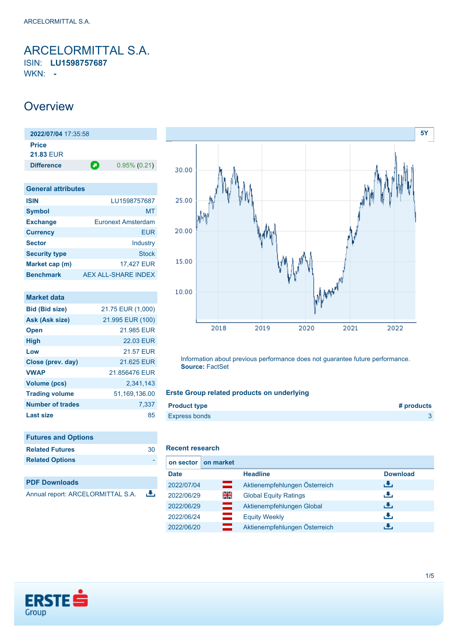<span id="page-0-0"></span>ARCELORMITTAL S.A. ISIN: **LU1598757687** WKN: **-**

## **Overview**

**2022/07/04** 17:35:58 **Price 21.83** EUR **Difference 0.95% (0.21)** 

| <b>General attributes</b> |                           |
|---------------------------|---------------------------|
| <b>ISIN</b>               | LU1598757687              |
| <b>Symbol</b>             | MT                        |
| <b>Exchange</b>           | <b>Euronext Amsterdam</b> |
| <b>Currency</b>           | FUR                       |
| <b>Sector</b>             | Industry                  |
| <b>Security type</b>      | <b>Stock</b>              |
| Market cap (m)            | 17,427 EUR                |
| <b>Benchmark</b>          | AEX ALL-SHARE INDEX       |

| <b>Market data</b>      |                   |
|-------------------------|-------------------|
| <b>Bid (Bid size)</b>   | 21.75 EUR (1,000) |
| Ask (Ask size)          | 21.995 EUR (100)  |
| <b>Open</b>             | 21.985 EUR        |
| <b>High</b>             | <b>22.03 EUR</b>  |
| Low                     | <b>21.57 EUR</b>  |
| Close (prev. day)       | 21.625 EUR        |
| <b>VWAP</b>             | 21.856476 EUR     |
| Volume (pcs)            | 2,341,143         |
| <b>Trading volume</b>   | 51,169,136.00     |
| <b>Number of trades</b> | 7.337             |
| Last size               | 85                |

| <b>Futures and Options</b> |    |
|----------------------------|----|
| <b>Related Futures</b>     | 30 |
| <b>Related Options</b>     |    |
|                            |    |
| <b>PDF Downloads</b>       |    |

Annual report: ARCELORMITTAL S.A. 舌



Information about previous performance does not guarantee future performance. **Source:** FactSet

### **Erste Group related products on underlying**

| <b>Product type</b>  | # products |
|----------------------|------------|
| <b>Express bonds</b> |            |

## **Recent research**

| on sector   | on market |                               |                 |
|-------------|-----------|-------------------------------|-----------------|
| <b>Date</b> |           | <b>Headline</b>               | <b>Download</b> |
| 2022/07/04  | ╼         | Aktienempfehlungen Österreich | رنان            |
| 2022/06/29  | 읡k        | <b>Global Equity Ratings</b>  | رنان            |
| 2022/06/29  | ▀         | Aktienempfehlungen Global     | رالى            |
| 2022/06/24  | $\equiv$  | <b>Equity Weekly</b>          | æ,              |
| 2022/06/20  | —         | Aktienempfehlungen Österreich | J.              |

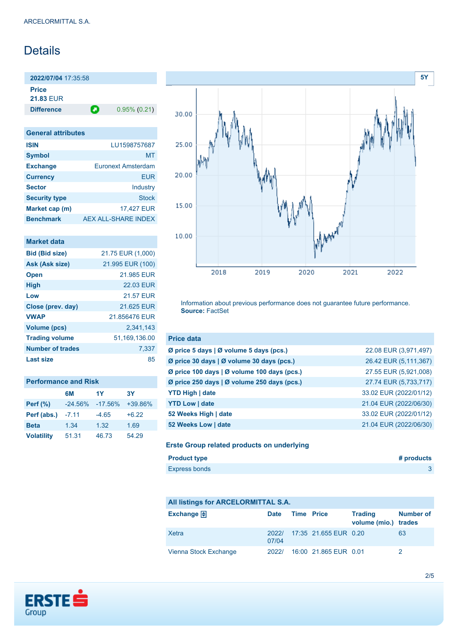# **Details**

**2022/07/04** 17:35:58 **Price**

**21.83** EUR

**Difference 0.95% (0.21)** 

| <b>General attributes</b> |                           |
|---------------------------|---------------------------|
| <b>ISIN</b>               | LU1598757687              |
| <b>Symbol</b>             | MT                        |
| <b>Exchange</b>           | <b>Furonext Amsterdam</b> |
| <b>Currency</b>           | EUR                       |
| <b>Sector</b>             | Industry                  |
| <b>Security type</b>      | <b>Stock</b>              |
| Market cap (m)            | 17,427 EUR                |
| <b>Benchmark</b>          | AEX ALL-SHARE INDEX       |

| <b>Market data</b>    |                   |
|-----------------------|-------------------|
| <b>Bid (Bid size)</b> | 21.75 EUR (1,000) |
| Ask (Ask size)        | 21.995 EUR (100)  |
| <b>Open</b>           | 21.985 EUR        |
| <b>High</b>           | 22.03 FUR         |
| Low                   | <b>21.57 FUR</b>  |
| Close (prev. day)     | 21.625 EUR        |
| <b>VWAP</b>           | 21.856476 EUR     |
| <b>Volume (pcs)</b>   | 2.341.143         |
| <b>Trading volume</b> | 51,169,136.00     |
| Number of trades      | 7,337             |
| Last size             | 85                |

| <b>Performance and Risk</b> |           |           |         |  |  |
|-----------------------------|-----------|-----------|---------|--|--|
|                             | 6M        | 1Y        | 3Υ      |  |  |
| <b>Perf (%)</b>             | $-24.56%$ | $-17.56%$ | +39.86% |  |  |
| Perf (abs.)                 | $-7.11$   | $-4.65$   | $+6.22$ |  |  |
| <b>Beta</b>                 | 1.34      | 1.32      | 1.69    |  |  |
| <b>Volatility</b>           | 51.31     | 46.73     | 54.29   |  |  |



Information about previous performance does not guarantee future performance. **Source:** FactSet

| <b>Price data</b>                           |                        |
|---------------------------------------------|------------------------|
| Ø price 5 days   Ø volume 5 days (pcs.)     | 22.08 EUR (3,971,497)  |
| Ø price 30 days   Ø volume 30 days (pcs.)   | 26.42 EUR (5,111,367)  |
| Ø price 100 days   Ø volume 100 days (pcs.) | 27.55 EUR (5,921,008)  |
| Ø price 250 days   Ø volume 250 days (pcs.) | 27.74 EUR (5,733,717)  |
| <b>YTD High   date</b>                      | 33.02 EUR (2022/01/12) |
| <b>YTD Low   date</b>                       | 21.04 EUR (2022/06/30) |
| 52 Weeks High   date                        | 33.02 EUR (2022/01/12) |
| 52 Weeks Low   date                         | 21.04 EUR (2022/06/30) |

### **Erste Group related products on underlying**

| <b>Product type</b> | # products |
|---------------------|------------|
| Express bonds       |            |

### **All listings for ARCELORMITTAL S.A.**

| Exchange $\bigoplus$  | Date           | <b>Time Price</b> |                       | <b>Trading</b><br>volume (mio.) trades | <b>Number of</b> |
|-----------------------|----------------|-------------------|-----------------------|----------------------------------------|------------------|
| Xetra                 | 2022/<br>07/04 |                   | 17:35 21.655 EUR 0.20 |                                        | 63               |
| Vienna Stock Exchange | 2022/          |                   | 16:00 21.865 EUR 0.01 |                                        |                  |

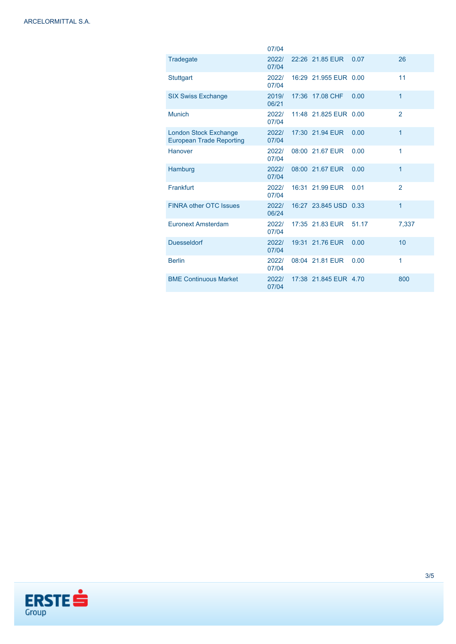|                                                                 | 07/04          |                       |       |                |
|-----------------------------------------------------------------|----------------|-----------------------|-------|----------------|
| Tradegate                                                       | 2022/<br>07/04 | 22:26 21.85 EUR       | 0.07  | 26             |
| <b>Stuttgart</b>                                                | 2022/<br>07/04 | 16:29 21.955 EUR 0.00 |       | 11             |
| <b>SIX Swiss Exchange</b>                                       | 2019/<br>06/21 | 17:36 17.08 CHF       | 0.00  | $\mathbf{1}$   |
| <b>Munich</b>                                                   | 2022/<br>07/04 | 11:48 21.825 EUR 0.00 |       | $\overline{2}$ |
| <b>London Stock Exchange</b><br><b>European Trade Reporting</b> | 2022/<br>07/04 | 17:30 21.94 EUR       | 0.00  | 1              |
| Hanover                                                         | 2022/<br>07/04 | 08:00 21.67 EUR       | 0.00  | 1              |
| Hamburg                                                         | 2022/<br>07/04 | 08:00 21.67 EUR       | 0.00  | 1              |
| Frankfurt                                                       | 2022/<br>07/04 | 16:31 21.99 EUR       | 0.01  | $\overline{2}$ |
| <b>FINRA other OTC Issues</b>                                   | 2022/<br>06/24 | 16:27 23.845 USD 0.33 |       | $\mathbf{1}$   |
| <b>Euronext Amsterdam</b>                                       | 2022/<br>07/04 | 17:35 21.83 EUR       | 51.17 | 7,337          |
| <b>Duesseldorf</b>                                              | 2022/<br>07/04 | 19:31 21.76 EUR       | 0.00  | 10             |
| <b>Berlin</b>                                                   | 2022/<br>07/04 | 08:04 21.81 EUR       | 0.00  | 1              |
| <b>BME Continuous Market</b>                                    | 2022/<br>07/04 | 17:38 21.845 EUR 4.70 |       | 800            |

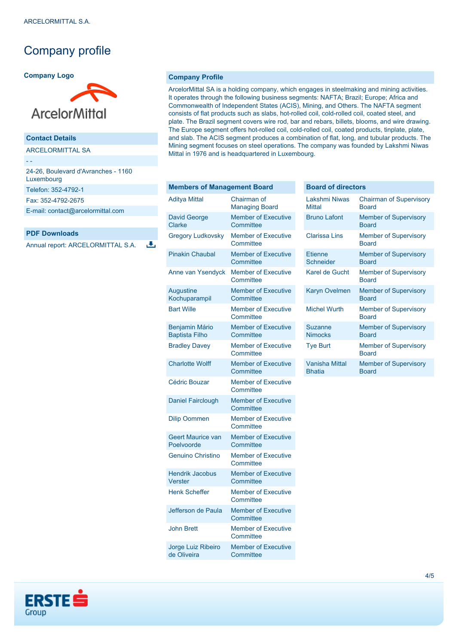## Company profile

#### **Company Logo**



### **Contact Details**

ARCELORMITTAL SA

- -

| 24-26, Boulevard d'Avranches - 1160<br>Luxembourg |  |
|---------------------------------------------------|--|
| Telefon: 352-4792-1                               |  |
| Fax: 352-4792-2675                                |  |
| E-mail: contact@arcelormittal.com                 |  |

### **PDF Downloads**

Annual report: ARCELORMITTAL S.A.

违

#### **Company Profile**

ArcelorMittal SA is a holding company, which engages in steelmaking and mining activities. It operates through the following business segments: NAFTA; Brazil; Europe; Africa and Commonwealth of Independent States (ACIS), Mining, and Others. The NAFTA segment consists of flat products such as slabs, hot-rolled coil, cold-rolled coil, coated steel, and plate. The Brazil segment covers wire rod, bar and rebars, billets, blooms, and wire drawing. The Europe segment offers hot-rolled coil, cold-rolled coil, coated products, tinplate, plate, and slab. The ACIS segment produces a combination of flat, long, and tubular products. The Mining segment focuses on steel operations. The company was founded by Lakshmi Niwas Mittal in 1976 and is headquartered in Luxembourg.

#### **Members of Management Board**

| <b>Aditya Mittal</b>                           | Chairman of<br><b>Managing Board</b>    |
|------------------------------------------------|-----------------------------------------|
| <b>David George</b><br>Clarke                  | <b>Member of Executive</b><br>Committee |
| <b>Gregory Ludkovsky</b>                       | <b>Member of Executive</b><br>Committee |
| <b>Pinakin Chaubal</b>                         | <b>Member of Executive</b><br>Committee |
| Anne van Ysendyck                              | <b>Member of Executive</b><br>Committee |
| Augustine<br>Kochuparampil                     | <b>Member of Executive</b><br>Committee |
| <b>Bart Wille</b>                              | <b>Member of Executive</b><br>Committee |
| <b>Benjamin Mário</b><br><b>Baptista Filho</b> | <b>Member of Executive</b><br>Committee |
| <b>Bradley Davey</b>                           | <b>Member of Executive</b><br>Committee |
| <b>Charlotte Wolff</b>                         | <b>Member of Executive</b><br>Committee |
| <b>Cédric Bouzar</b>                           | <b>Member of Executive</b><br>Committee |
| <b>Daniel Fairclough</b>                       | <b>Member of Executive</b><br>Committee |
| <b>Dilip Oommen</b>                            | <b>Member of Executive</b><br>Committee |
| <b>Geert Maurice van</b><br>Poelvoorde         | <b>Member of Executive</b><br>Committee |
| <b>Genuino Christino</b>                       | <b>Member of Executive</b><br>Committee |
| <b>Hendrik Jacobus</b><br>Verster              | <b>Member of Executive</b><br>Committee |
| <b>Henk Scheffer</b>                           | <b>Member of Executive</b><br>Committee |
| Jefferson de Paula                             | <b>Member of Executive</b><br>Committee |
| <b>John Brett</b>                              | <b>Member of Executive</b><br>Committee |
| Jorge Luiz Ribeiro<br>de Oliveira              | <b>Member of Executive</b><br>Committee |

#### **Board of directors**

| I akshmi Niwas<br>Mittal               | <b>Chairman of Supervisory</b><br><b>Board</b> |
|----------------------------------------|------------------------------------------------|
| <b>Bruno Lafont</b>                    | <b>Member of Supervisory</b><br><b>Board</b>   |
| Clarissa Lins                          | <b>Member of Supervisory</b><br><b>Board</b>   |
| <b>Etjenne</b><br>Schneider            | <b>Member of Supervisory</b><br><b>Board</b>   |
| Karel de Gucht                         | <b>Member of Supervisory</b><br><b>Board</b>   |
| <b>Karyn Ovelmen</b>                   | <b>Member of Supervisory</b><br><b>Roard</b>   |
| <b>Michel Wurth</b>                    | <b>Member of Supervisory</b><br><b>Board</b>   |
| Suzanne<br><b>Nimocks</b>              | <b>Member of Supervisory</b><br><b>Board</b>   |
| <b>Tye Burt</b>                        | <b>Member of Supervisory</b><br><b>Board</b>   |
| <b>Vanisha Mittal</b><br><b>Bhatia</b> | <b>Member of Supervisory</b><br><b>Board</b>   |